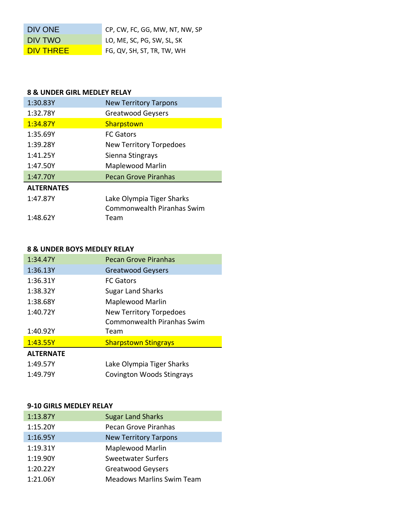| DIV ONE          | CP, CW, FC, GG, MW, NT, NW, SP |
|------------------|--------------------------------|
| DIV TWO          | LO, ME, SC, PG, SW, SL, SK     |
| <b>DIV THREE</b> | FG, QV, SH, ST, TR, TW, WH     |

## **8 & UNDER GIRL MEDLEY RELAY**

| 1:30.83Y          | <b>New Territory Tarpons</b>      |
|-------------------|-----------------------------------|
| 1:32.78Y          | <b>Greatwood Geysers</b>          |
| 1:34.87Y          | Sharpstown                        |
| 1:35.69Y          | <b>FC Gators</b>                  |
| 1:39.28Y          | <b>New Territory Torpedoes</b>    |
| 1:41.25Y          | Sienna Stingrays                  |
| 1:47.50Y          | <b>Maplewood Marlin</b>           |
| 1:47.70Y          | <b>Pecan Grove Piranhas</b>       |
| <b>ALTERNATES</b> |                                   |
| 1:47.87Y          | Lake Olympia Tiger Sharks         |
|                   | <b>Commonwealth Piranhas Swim</b> |
| 1:48.62Y          | Team                              |

### **8 & UNDER BOYS MEDLEY RELAY**

| 1:34.47Y         | Pecan Grove Piranhas             |
|------------------|----------------------------------|
| 1:36.13Y         | <b>Greatwood Geysers</b>         |
| 1:36.31Y         | <b>FC Gators</b>                 |
| 1:38.32Y         | <b>Sugar Land Sharks</b>         |
| 1:38.68Y         | Maplewood Marlin                 |
| 1:40.72Y         | <b>New Territory Torpedoes</b>   |
|                  | Commonwealth Piranhas Swim       |
| 1:40.92Y         | Team                             |
| 1:43.55Y         | <b>Sharpstown Stingrays</b>      |
| <b>ALTERNATE</b> |                                  |
| 1:49.57Y         | Lake Olympia Tiger Sharks        |
| 1:49.79Y         | <b>Covington Woods Stingrays</b> |

## **9-10 GIRLS MEDLEY RELAY**

| 1:13.87Y | <b>Sugar Land Sharks</b>         |
|----------|----------------------------------|
| 1:15.20Y | <b>Pecan Grove Piranhas</b>      |
| 1:16.95Y | <b>New Territory Tarpons</b>     |
| 1:19.31Y | Maplewood Marlin                 |
| 1:19.90Y | <b>Sweetwater Surfers</b>        |
| 1:20.22Y | <b>Greatwood Geysers</b>         |
| 1:21.06Y | <b>Meadows Marlins Swim Team</b> |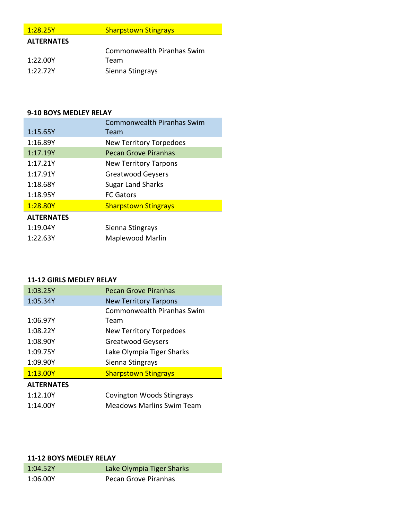| 1:28.25Y          | <b>Sharpstown Stingrays</b> |
|-------------------|-----------------------------|
| <b>ALTERNATES</b> |                             |
|                   | Commonwealth Piranhas Swim  |
| 1:22.00Y          | Team                        |

1:22.72Y Sienna Stingrays

### **9-10 BOYS MEDLEY RELAY**

|                   | <b>Commonwealth Piranhas Swim</b> |
|-------------------|-----------------------------------|
| 1:15.65Y          | Team                              |
| 1:16.89Y          | <b>New Territory Torpedoes</b>    |
| 1:17.19Y          | <b>Pecan Grove Piranhas</b>       |
| 1:17.21Y          | <b>New Territory Tarpons</b>      |
| 1:17.91Y          | <b>Greatwood Geysers</b>          |
| 1:18.68Y          | <b>Sugar Land Sharks</b>          |
| 1:18.95Y          | <b>FC Gators</b>                  |
| 1:28.80Y          | <b>Sharpstown Stingrays</b>       |
| <b>ALTERNATES</b> |                                   |
| 1:19.04Y          | Sienna Stingrays                  |
| 1:22.63Y          | Maplewood Marlin                  |

# **11-12 GIRLS MEDLEY RELAY**

| 1:03.25Y          | <b>Pecan Grove Piranhas</b>    |
|-------------------|--------------------------------|
| 1:05.34Y          | <b>New Territory Tarpons</b>   |
|                   | Commonwealth Piranhas Swim     |
| 1:06.97Y          | Team                           |
| 1:08.22Y          | <b>New Territory Torpedoes</b> |
| 1:08.90Y          | <b>Greatwood Geysers</b>       |
| 1:09.75Y          | Lake Olympia Tiger Sharks      |
| 1:09.90Y          | Sienna Stingrays               |
| 1:13.00Y          | <b>Sharpstown Stingrays</b>    |
| <b>ALTERNATES</b> |                                |
| 1:12.10Y          | Covington Woods Stingrays      |

|          |                                  | --- |
|----------|----------------------------------|-----|
| 1:14.00Y | <b>Meadows Marlins Swim Team</b> |     |

## **11-12 BOYS MEDLEY RELAY**

| 1:04.52Y | Lake Olympia Tiger Sharks |
|----------|---------------------------|
| 1:06.00Y | Pecan Grove Piranhas      |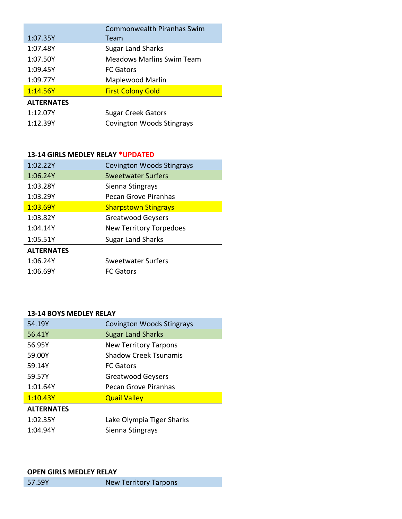| 1:07.35Y          | <b>Commonwealth Piranhas Swim</b><br>Team |
|-------------------|-------------------------------------------|
| 1:07.48Y          | <b>Sugar Land Sharks</b>                  |
| 1:07.50Y          | <b>Meadows Marlins Swim Team</b>          |
| 1:09.45Y          | <b>FC Gators</b>                          |
| 1:09.77Y          | Maplewood Marlin                          |
| 1:14.56Y          | <b>First Colony Gold</b>                  |
| <b>ALTERNATES</b> |                                           |
| 1:12.07Y          | <b>Sugar Creek Gators</b>                 |
| 1:12.39Y          | <b>Covington Woods Stingrays</b>          |

## **13-14 GIRLS MEDLEY RELAY \*UPDATED**

| 1:02.22Y          | <b>Covington Woods Stingrays</b> |
|-------------------|----------------------------------|
| 1:06.24Y          | Sweetwater Surfers               |
| 1:03.28Y          | Sienna Stingrays                 |
| 1:03.29Y          | Pecan Grove Piranhas             |
| 1:03.69Y          | <b>Sharpstown Stingrays</b>      |
| 1:03.82Y          | <b>Greatwood Geysers</b>         |
| 1:04.14Y          | New Territory Torpedoes          |
| 1:05.51Y          | <b>Sugar Land Sharks</b>         |
| <b>ALTERNATES</b> |                                  |
| 1:06.24Y          | Sweetwater Surfers               |
| 1:06.69Y          | <b>FC Gators</b>                 |
|                   |                                  |

#### **13-14 BOYS MEDLEY RELAY**

| 54.19Y            | <b>Covington Woods Stingrays</b> |
|-------------------|----------------------------------|
| 56.41Y            | <b>Sugar Land Sharks</b>         |
| 56.95Y            | <b>New Territory Tarpons</b>     |
| 59.00Y            | Shadow Creek Tsunamis            |
| 59.14Y            | <b>FC Gators</b>                 |
| 59.57Y            | Greatwood Geysers                |
| 1:01.64Y          | Pecan Grove Piranhas             |
| 1:10.43Y          | <b>Quail Valley</b>              |
| <b>ALTERNATES</b> |                                  |
| 1:02.35Y          | Lake Olympia Tiger Sharks        |
| 1:04.94Y          | Sienna Stingrays                 |

### **OPEN GIRLS MEDLEY RELAY**